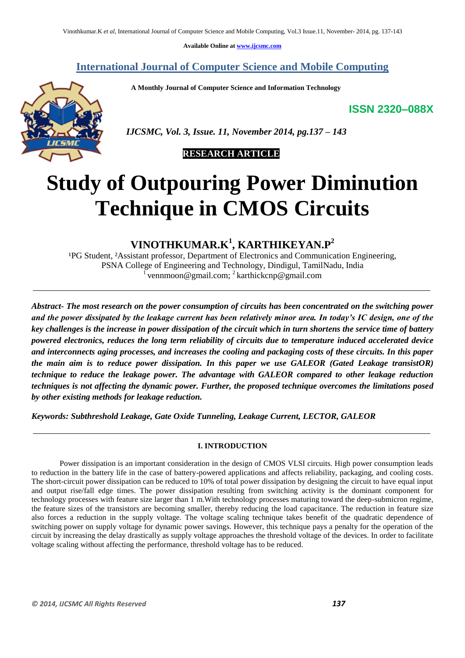**Available Online at www.ijcsmc.com**

**International Journal of Computer Science and Mobile Computing**

 **A Monthly Journal of Computer Science and Information Technology**

**ISSN 2320–088X**



 *IJCSMC, Vol. 3, Issue. 11, November 2014, pg.137 – 143*

# **RESEARCH ARTICLE**

# **Study of Outpouring Power Diminution Technique in CMOS Circuits**

# **VINOTHKUMAR.K<sup>1</sup> , KARTHIKEYAN.P<sup>2</sup>**

<sup>1</sup>PG Student, <sup>2</sup>Assistant professor, Department of Electronics and Communication Engineering, PSNA College of Engineering and Technology, Dindigul, TamilNadu, India 1 vennmoon@gmail.com; <sup>2</sup> karthickcnp@gmail.com

*Abstract- The most research on the power consumption of circuits has been concentrated on the switching power and the power dissipated by the leakage current has been relatively minor area. In today's IC design, one of the key challenges is the increase in power dissipation of the circuit which in turn shortens the service time of battery powered electronics, reduces the long term reliability of circuits due to temperature induced accelerated device and interconnects aging processes, and increases the cooling and packaging costs of these circuits. In this paper the main aim is to reduce power dissipation. In this paper we use GALEOR (Gated Leakage transistOR) technique to reduce the leakage power. The advantage with GALEOR compared to other leakage reduction techniques is not affecting the dynamic power. Further, the proposed technique overcomes the limitations posed by other existing methods for leakage reduction.*

*Keywords: Subthreshold Leakage, Gate Oxide Tunneling, Leakage Current, LECTOR, GALEOR*

# **I. INTRODUCTION**

Power dissipation is an important consideration in the design of CMOS VLSI circuits. High power consumption leads to reduction in the battery life in the case of battery-powered applications and affects reliability, packaging, and cooling costs. The short-circuit power dissipation can be reduced to 10% of total power dissipation by designing the circuit to have equal input and output rise/fall edge times. The power dissipation resulting from switching activity is the dominant component for technology processes with feature size larger than 1 m.With technology processes maturing toward the deep-submicron regime, the feature sizes of the transistors are becoming smaller, thereby reducing the load capacitance. The reduction in feature size also forces a reduction in the supply voltage. The voltage scaling technique takes benefit of the quadratic dependence of switching power on supply voltage for dynamic power savings. However, this technique pays a penalty for the operation of the circuit by increasing the delay drastically as supply voltage approaches the threshold voltage of the devices. In order to facilitate voltage scaling without affecting the performance, threshold voltage has to be reduced.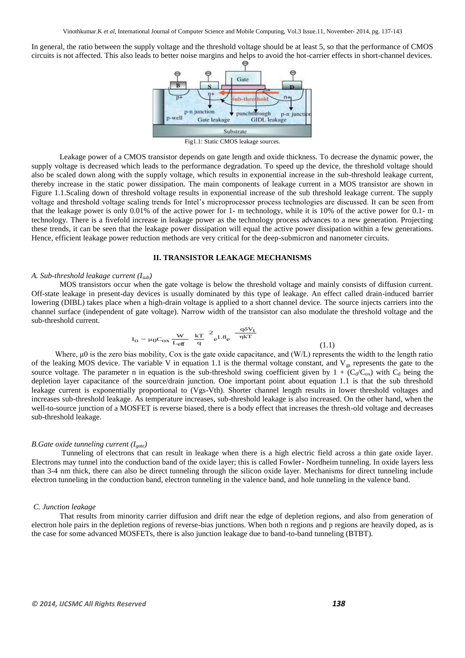In general, the ratio between the supply voltage and the threshold voltage should be at least 5, so that the performance of CMOS circuits is not affected. This also leads to better noise margins and helps to avoid the hot-carrier effects in short-channel devices.



Fig1.1: Static CMOS leakage sources.

Leakage power of a CMOS transistor depends on gate length and oxide thickness. To decrease the dynamic power, the supply voltage is decreased which leads to the performance degradation. To speed up the device, the threshold voltage should also be scaled down along with the supply voltage, which results in exponential increase in the sub-threshold leakage current, thereby increase in the static power dissipation. The main components of leakage current in a MOS transistor are shown in Figure 1.1.Scaling down of threshold voltage results in exponential increase of the sub threshold leakage current. The supply voltage and threshold voltage scaling trends for Intel"s microprocessor process technologies are discussed. It can be seen from that the leakage power is only 0.01% of the active power for 1- m technology, while it is 10% of the active power for 0.1- m technology. There is a fivefold increase in leakage power as the technology process advances to a new generation. Projecting these trends, it can be seen that the leakage power dissipation will equal the active power dissipation within a few generations. Hence, efficient leakage power reduction methods are very critical for the deep-submicron and nanometer circuits.

#### **II. TRANSISTOR LEAKAGE MECHANISMS**

#### *A. Sub-threshold leakage current (Isub)*

MOS transistors occur when the gate voltage is below the threshold voltage and mainly consists of diffusion current. Off-state leakage in present-day devices is usually dominated by this type of leakage. An effect called drain-induced barrier lowering (DIBL) takes place when a high-drain voltage is applied to a short channel device. The source injects carriers into the channel surface (independent of gate voltage). Narrow width of the transistor can also modulate the threshold voltage and the sub-threshold current.

$$
I_{o} = \mu_{0} C_{ox} \frac{W}{L_{eff}} \frac{kT}{q}^{2} e^{1.8} e^{-\frac{q \delta V_{t}}{\eta kT}}
$$
\n(1.1)

 Where, μ0 is the zero bias mobility, Cox is the gate oxide capacitance, and (W/L) represents the width to the length ratio of the leaking MOS device. The variable V in equation 1.1 is the thermal voltage constant, and  $V_{gs}$  represents the gate to the source voltage. The parameter n in equation is the sub-threshold swing coefficient given by  $1 + (C_d/C_{ox})$  with  $C_d$  being the depletion layer capacitance of the source/drain junction. One important point about equation 1.1 is that the sub threshold leakage current is exponentially proportional to (Vgs-Vth). Shorter channel length results in lower threshold voltages and increases sub-threshold leakage. As temperature increases, sub-threshold leakage is also increased. On the other hand, when the well-to-source junction of a MOSFET is reverse biased, there is a body effect that increases the thresh-old voltage and decreases sub-threshold leakage.

#### *B.Gate oxide tunneling current (Igate)*

Tunneling of electrons that can result in leakage when there is a high electric field across a thin gate oxide layer. Electrons may tunnel into the conduction band of the oxide layer; this is called Fowler- Nordheim tunneling. In oxide layers less than 3-4 nm thick, there can also be direct tunneling through the silicon oxide layer. Mechanisms for direct tunneling include electron tunneling in the conduction band, electron tunneling in the valence band, and hole tunneling in the valence band.

#### *C. Junction leakage*

That results from minority carrier diffusion and drift near the edge of depletion regions, and also from generation of electron hole pairs in the depletion regions of reverse-bias junctions. When both n regions and p regions are heavily doped, as is the case for some advanced MOSFETs, there is also junction leakage due to band-to-band tunneling (BTBT).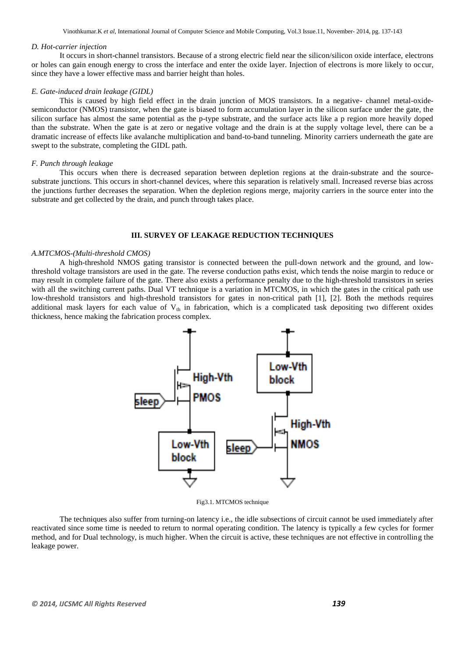Vinothkumar.K *et al*, International Journal of Computer Science and Mobile Computing, Vol.3 Issue.11, November- 2014, pg. 137-143

## *D. Hot-carrier injection*

It occurs in short-channel transistors. Because of a strong electric field near the silicon/silicon oxide interface, electrons or holes can gain enough energy to cross the interface and enter the oxide layer. Injection of electrons is more likely to occur, since they have a lower effective mass and barrier height than holes.

# *E. Gate-induced drain leakage (GIDL)*

This is caused by high field effect in the drain junction of MOS transistors. In a negative- channel metal-oxidesemiconductor (NMOS) transistor, when the gate is biased to form accumulation layer in the silicon surface under the gate, the silicon surface has almost the same potential as the p-type substrate, and the surface acts like a p region more heavily doped than the substrate. When the gate is at zero or negative voltage and the drain is at the supply voltage level, there can be a dramatic increase of effects like avalanche multiplication and band-to-band tunneling. Minority carriers underneath the gate are swept to the substrate, completing the GIDL path.

#### *F. Punch through leakage*

This occurs when there is decreased separation between depletion regions at the drain-substrate and the sourcesubstrate junctions. This occurs in short-channel devices, where this separation is relatively small. Increased reverse bias across the junctions further decreases the separation. When the depletion regions merge, majority carriers in the source enter into the substrate and get collected by the drain, and punch through takes place.

# **III. SURVEY OF LEAKAGE REDUCTION TECHNIQUES**

# *A.MTCMOS-(Multi-threshold CMOS)*

A high-threshold NMOS gating transistor is connected between the pull-down network and the ground, and lowthreshold voltage transistors are used in the gate. The reverse conduction paths exist, which tends the noise margin to reduce or may result in complete failure of the gate. There also exists a performance penalty due to the high-threshold transistors in series with all the switching current paths. Dual VT technique is a variation in MTCMOS, in which the gates in the critical path use low-threshold transistors and high-threshold transistors for gates in non-critical path [1], [2]. Both the methods requires additional mask layers for each value of  $V_{th}$  in fabrication, which is a complicated task depositing two different oxides thickness, hence making the fabrication process complex.



Fig3.1. MTCMOS technique

The techniques also suffer from turning-on latency i.e., the idle subsections of circuit cannot be used immediately after reactivated since some time is needed to return to normal operating condition. The latency is typically a few cycles for former method, and for Dual technology, is much higher. When the circuit is active, these techniques are not effective in controlling the leakage power.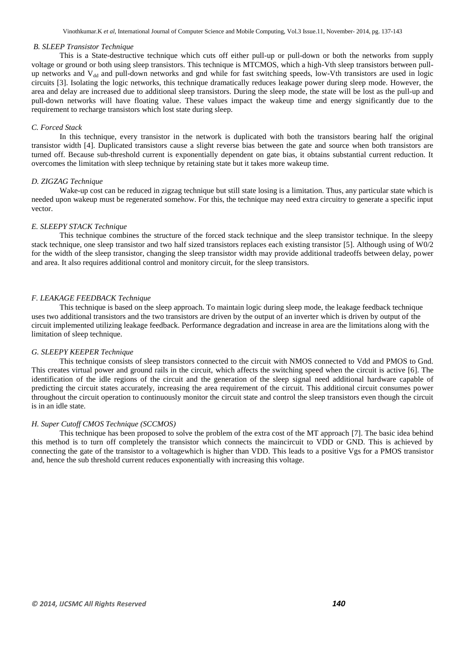#### *B. SLEEP Transistor Technique*

This is a State-destructive technique which cuts off either pull-up or pull-down or both the networks from supply voltage or ground or both using sleep transistors. This technique is MTCMOS, which a high-Vth sleep transistors between pullup networks and  $V_{dd}$  and pull-down networks and gnd while for fast switching speeds, low-Vth transistors are used in logic circuits [3]. Isolating the logic networks, this technique dramatically reduces leakage power during sleep mode. However, the area and delay are increased due to additional sleep transistors. During the sleep mode, the state will be lost as the pull-up and pull-down networks will have floating value. These values impact the wakeup time and energy significantly due to the requirement to recharge transistors which lost state during sleep.

#### *C. Forced Stack*

In this technique, every transistor in the network is duplicated with both the transistors bearing half the original transistor width [4]. Duplicated transistors cause a slight reverse bias between the gate and source when both transistors are turned off. Because sub-threshold current is exponentially dependent on gate bias, it obtains substantial current reduction. It overcomes the limitation with sleep technique by retaining state but it takes more wakeup time.

#### *D. ZIGZAG Technique*

Wake-up cost can be reduced in zigzag technique but still state losing is a limitation. Thus, any particular state which is needed upon wakeup must be regenerated somehow. For this, the technique may need extra circuitry to generate a specific input vector.

## *E. SLEEPY STACK Technique*

This technique combines the structure of the forced stack technique and the sleep transistor technique. In the sleepy stack technique, one sleep transistor and two half sized transistors replaces each existing transistor [5]. Although using of W0/2 for the width of the sleep transistor, changing the sleep transistor width may provide additional tradeoffs between delay, power and area. It also requires additional control and monitory circuit, for the sleep transistors.

#### *F. LEAKAGE FEEDBACK Technique*

This technique is based on the sleep approach. To maintain logic during sleep mode, the leakage feedback technique uses two additional transistors and the two transistors are driven by the output of an inverter which is driven by output of the circuit implemented utilizing leakage feedback. Performance degradation and increase in area are the limitations along with the limitation of sleep technique.

#### *G. SLEEPY KEEPER Technique*

This technique consists of sleep transistors connected to the circuit with NMOS connected to Vdd and PMOS to Gnd. This creates virtual power and ground rails in the circuit, which affects the switching speed when the circuit is active [6]. The identification of the idle regions of the circuit and the generation of the sleep signal need additional hardware capable of predicting the circuit states accurately, increasing the area requirement of the circuit. This additional circuit consumes power throughout the circuit operation to continuously monitor the circuit state and control the sleep transistors even though the circuit is in an idle state.

# *H. Super Cutoff CMOS Technique (SCCMOS)*

This technique has been proposed to solve the problem of the extra cost of the MT approach [7]. The basic idea behind this method is to turn off completely the transistor which connects the maincircuit to VDD or GND. This is achieved by connecting the gate of the transistor to a voltagewhich is higher than VDD. This leads to a positive Vgs for a PMOS transistor and, hence the sub threshold current reduces exponentially with increasing this voltage.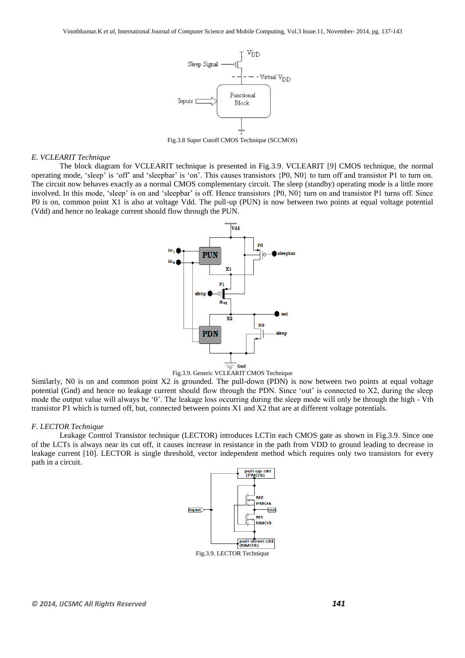

Fig.3.8 Super Cutoff CMOS Technique (SCCMOS)

#### *E. VCLEARIT Technique*

The block diagram for VCLEARIT technique is presented in Fig.3.9. VCLEARIT [9] CMOS technique, the normal operating mode, 'sleep' is 'off' and 'sleepbar' is 'on'. This causes transistors {P0, N0} to turn off and transistor P1 to turn on. The circuit now behaves exactly as a normal CMOS complementary circuit. The sleep (standby) operating mode is a little more involved. In this mode, 'sleep' is on and 'sleepbar' is off. Hence transistors  $\{P0, N0\}$  turn on and transistor P1 turns off. Since P0 is on, common point X1 is also at voltage Vdd. The pull-up (PUN) is now between two points at equal voltage potential (Vdd) and hence no leakage current should flow through the PUN.





Similarly, N0 is on and common point X2 is grounded. The pull-down (PDN) is now between two points at equal voltage potential (Gnd) and hence no leakage current should flow through the PDN. Since "out" is connected to X2, during the sleep mode the output value will always be "0". The leakage loss occurring during the sleep mode will only be through the high - Vth transistor P1 which is turned off, but, connected between points X1 and X2 that are at different voltage potentials.

#### *F. LECTOR Technique*

Leakage Control Transistor technique (LECTOR) introduces LCTin each CMOS gate as shown in Fig.3.9. Since one of the LCTs is always near its cut off, it causes increase in resistance in the path from VDD to ground leading to decrease in leakage current [10]. LECTOR is single threshold, vector independent method which requires only two transistors for every path in a circuit.

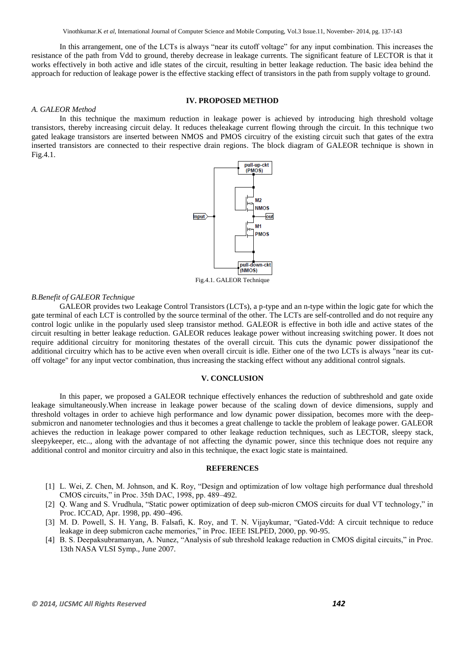Vinothkumar.K *et al*, International Journal of Computer Science and Mobile Computing, Vol.3 Issue.11, November- 2014, pg. 137-143

In this arrangement, one of the LCTs is always "near its cutoff voltage" for any input combination. This increases the resistance of the path from Vdd to ground, thereby decrease in leakage currents. The significant feature of LECTOR is that it works effectively in both active and idle states of the circuit, resulting in better leakage reduction. The basic idea behind the approach for reduction of leakage power is the effective stacking effect of transistors in the path from supply voltage to ground.

# **IV. PROPOSED METHOD**

#### *A. GALEOR Method*

In this technique the maximum reduction in leakage power is achieved by introducing high threshold voltage transistors, thereby increasing circuit delay. It reduces theleakage current flowing through the circuit. In this technique two gated leakage transistors are inserted between NMOS and PMOS circuitry of the existing circuit such that gates of the extra inserted transistors are connected to their respective drain regions. The block diagram of GALEOR technique is shown in Fig.4.1.



Fig.4.1. GALEOR Technique

# *B.Benefit of GALEOR Technique*

GALEOR provides two Leakage Control Transistors (LCTs), a p-type and an n-type within the logic gate for which the gate terminal of each LCT is controlled by the source terminal of the other. The LCTs are self-controlled and do not require any control logic unlike in the popularly used sleep transistor method. GALEOR is effective in both idle and active states of the circuit resulting in better leakage reduction. GALEOR reduces leakage power without increasing switching power. It does not require additional circuitry for monitoring thestates of the overall circuit. This cuts the dynamic power dissipationof the additional circuitry which has to be active even when overall circuit is idle. Either one of the two LCTs is always "near its cutoff voltage" for any input vector combination, thus increasing the stacking effect without any additional control signals.

#### **V. CONCLUSION**

In this paper, we proposed a GALEOR technique effectively enhances the reduction of subthreshold and gate oxide leakage simultaneously.When increase in leakage power because of the scaling down of device dimensions, supply and threshold voltages in order to achieve high performance and low dynamic power dissipation, becomes more with the deepsubmicron and nanometer technologies and thus it becomes a great challenge to tackle the problem of leakage power. GALEOR achieves the reduction in leakage power compared to other leakage reduction techniques, such as LECTOR, sleepy stack, sleepykeeper, etc.., along with the advantage of not affecting the dynamic power, since this technique does not require any additional control and monitor circuitry and also in this technique, the exact logic state is maintained.

# **REFERENCES**

- [1] L. Wei, Z. Chen, M. Johnson, and K. Roy, "Design and optimization of low voltage high performance dual threshold CMOS circuits," in Proc. 35th DAC, 1998, pp. 489–492.
- [2] Q. Wang and S. Vrudhula, "Static power optimization of deep sub-micron CMOS circuits for dual VT technology," in Proc. ICCAD, Apr. 1998, pp. 490–496.
- [3] M. D. Powell, S. H. Yang, B. Falsafi, K. Roy, and T. N. Vijaykumar, "Gated-Vdd: A circuit technique to reduce leakage in deep submicron cache memories," in Proc. IEEE ISLPED, 2000, pp. 90-95.
- [4] B. S. Deepaksubramanyan, A. Nunez, "Analysis of sub threshold leakage reduction in CMOS digital circuits," in Proc. 13th NASA VLSI Symp., June 2007.